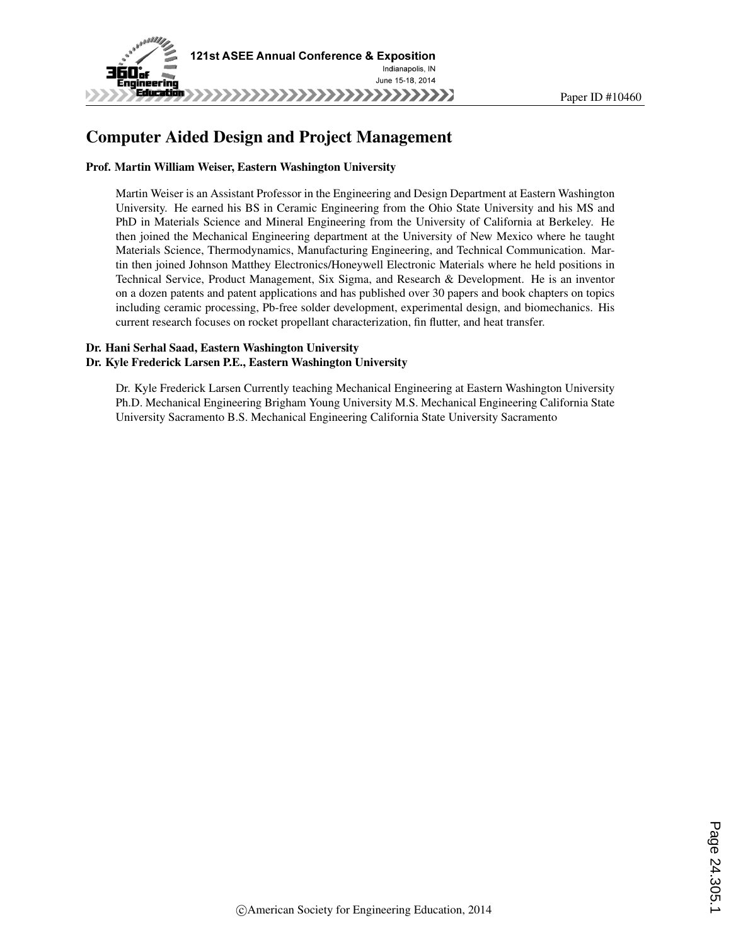

# Computer Aided Design and Project Management

#### Prof. Martin William Weiser, Eastern Washington University

Martin Weiser is an Assistant Professor in the Engineering and Design Department at Eastern Washington University. He earned his BS in Ceramic Engineering from the Ohio State University and his MS and PhD in Materials Science and Mineral Engineering from the University of California at Berkeley. He then joined the Mechanical Engineering department at the University of New Mexico where he taught Materials Science, Thermodynamics, Manufacturing Engineering, and Technical Communication. Martin then joined Johnson Matthey Electronics/Honeywell Electronic Materials where he held positions in Technical Service, Product Management, Six Sigma, and Research & Development. He is an inventor on a dozen patents and patent applications and has published over 30 papers and book chapters on topics including ceramic processing, Pb-free solder development, experimental design, and biomechanics. His current research focuses on rocket propellant characterization, fin flutter, and heat transfer.

#### Dr. Hani Serhal Saad, Eastern Washington University Dr. Kyle Frederick Larsen P.E., Eastern Washington University

Dr. Kyle Frederick Larsen Currently teaching Mechanical Engineering at Eastern Washington University Ph.D. Mechanical Engineering Brigham Young University M.S. Mechanical Engineering California State University Sacramento B.S. Mechanical Engineering California State University Sacramento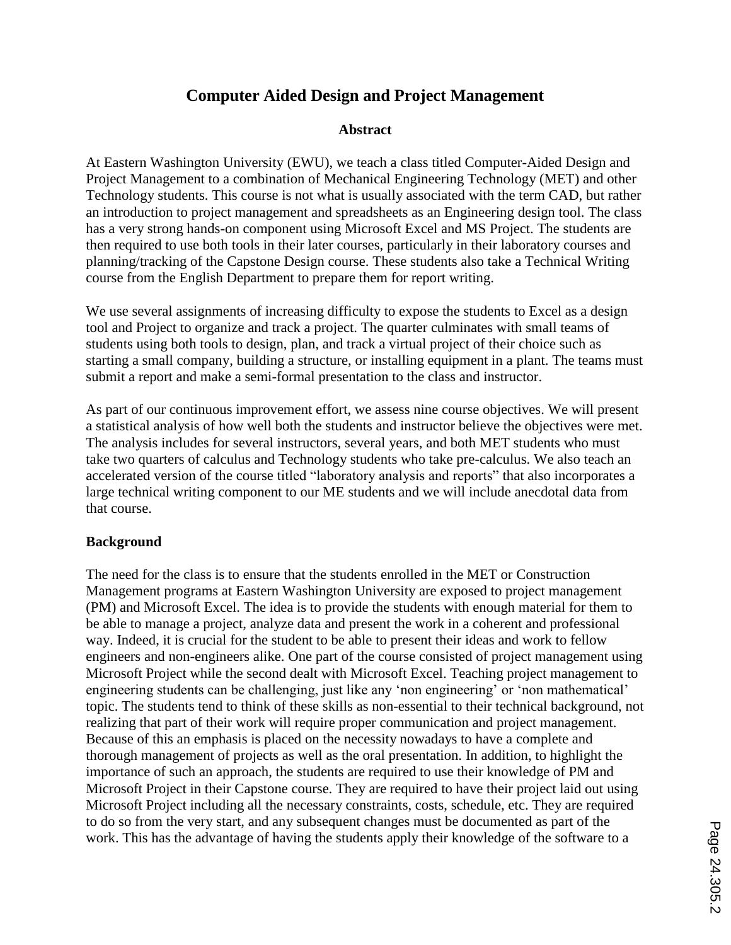# **Computer Aided Design and Project Management**

### **Abstract**

At Eastern Washington University (EWU), we teach a class titled Computer-Aided Design and Project Management to a combination of Mechanical Engineering Technology (MET) and other Technology students. This course is not what is usually associated with the term CAD, but rather an introduction to project management and spreadsheets as an Engineering design tool. The class has a very strong hands-on component using Microsoft Excel and MS Project. The students are then required to use both tools in their later courses, particularly in their laboratory courses and planning/tracking of the Capstone Design course. These students also take a Technical Writing course from the English Department to prepare them for report writing.

We use several assignments of increasing difficulty to expose the students to Excel as a design tool and Project to organize and track a project. The quarter culminates with small teams of students using both tools to design, plan, and track a virtual project of their choice such as starting a small company, building a structure, or installing equipment in a plant. The teams must submit a report and make a semi-formal presentation to the class and instructor.

As part of our continuous improvement effort, we assess nine course objectives. We will present a statistical analysis of how well both the students and instructor believe the objectives were met. The analysis includes for several instructors, several years, and both MET students who must take two quarters of calculus and Technology students who take pre-calculus. We also teach an accelerated version of the course titled "laboratory analysis and reports" that also incorporates a large technical writing component to our ME students and we will include anecdotal data from that course.

### **Background**

The need for the class is to ensure that the students enrolled in the MET or Construction Management programs at Eastern Washington University are exposed to project management (PM) and Microsoft Excel. The idea is to provide the students with enough material for them to be able to manage a project, analyze data and present the work in a coherent and professional way. Indeed, it is crucial for the student to be able to present their ideas and work to fellow engineers and non-engineers alike. One part of the course consisted of project management using Microsoft Project while the second dealt with Microsoft Excel. Teaching project management to engineering students can be challenging, just like any 'non engineering' or 'non mathematical' topic. The students tend to think of these skills as non-essential to their technical background, not realizing that part of their work will require proper communication and project management. Because of this an emphasis is placed on the necessity nowadays to have a complete and thorough management of projects as well as the oral presentation. In addition, to highlight the importance of such an approach, the students are required to use their knowledge of PM and Microsoft Project in their Capstone course. They are required to have their project laid out using Microsoft Project including all the necessary constraints, costs, schedule, etc. They are required to do so from the very start, and any subsequent changes must be documented as part of the work. This has the advantage of having the students apply their knowledge of the software to a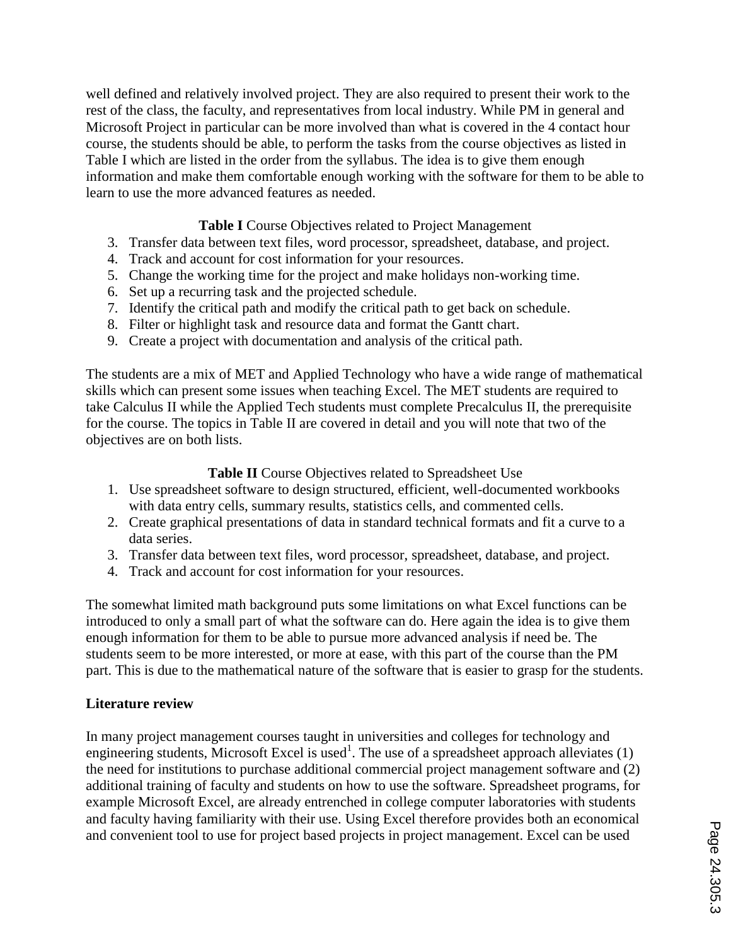well defined and relatively involved project. They are also required to present their work to the rest of the class, the faculty, and representatives from local industry. While PM in general and Microsoft Project in particular can be more involved than what is covered in the 4 contact hour course, the students should be able, to perform the tasks from the course objectives as listed in Table I which are listed in the order from the syllabus. The idea is to give them enough information and make them comfortable enough working with the software for them to be able to learn to use the more advanced features as needed.

## **Table I** Course Objectives related to Project Management

- 3. Transfer data between text files, word processor, spreadsheet, database, and project.
- 4. Track and account for cost information for your resources.
- 5. Change the working time for the project and make holidays non-working time.
- 6. Set up a recurring task and the projected schedule.
- 7. Identify the critical path and modify the critical path to get back on schedule.
- 8. Filter or highlight task and resource data and format the Gantt chart.
- 9. Create a project with documentation and analysis of the critical path.

The students are a mix of MET and Applied Technology who have a wide range of mathematical skills which can present some issues when teaching Excel. The MET students are required to take Calculus II while the Applied Tech students must complete Precalculus II, the prerequisite for the course. The topics in Table II are covered in detail and you will note that two of the objectives are on both lists.

### **Table II** Course Objectives related to Spreadsheet Use

- 1. Use spreadsheet software to design structured, efficient, well-documented workbooks with data entry cells, summary results, statistics cells, and commented cells.
- 2. Create graphical presentations of data in standard technical formats and fit a curve to a data series.
- 3. Transfer data between text files, word processor, spreadsheet, database, and project.
- 4. Track and account for cost information for your resources.

The somewhat limited math background puts some limitations on what Excel functions can be introduced to only a small part of what the software can do. Here again the idea is to give them enough information for them to be able to pursue more advanced analysis if need be. The students seem to be more interested, or more at ease, with this part of the course than the PM part. This is due to the mathematical nature of the software that is easier to grasp for the students.

## **Literature review**

In many project management courses taught in universities and colleges for technology and engineering students, Microsoft Excel is used<sup>1</sup>. The use of a spreadsheet approach alleviates  $(1)$ the need for institutions to purchase additional commercial project management software and (2) additional training of faculty and students on how to use the software. Spreadsheet programs, for example Microsoft Excel, are already entrenched in college computer laboratories with students and faculty having familiarity with their use. Using Excel therefore provides both an economical and convenient tool to use for project based projects in project management. Excel can be used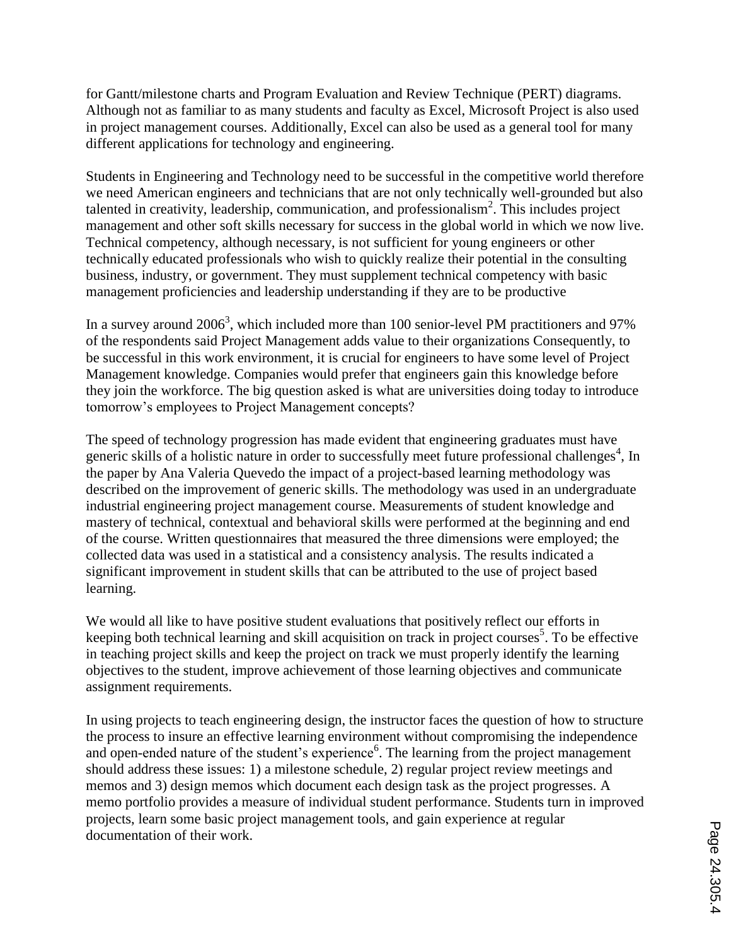for Gantt/milestone charts and Program Evaluation and Review Technique (PERT) diagrams. Although not as familiar to as many students and faculty as Excel, Microsoft Project is also used in project management courses. Additionally, Excel can also be used as a general tool for many different applications for technology and engineering.

Students in Engineering and Technology need to be successful in the competitive world therefore we need American engineers and technicians that are not only technically well-grounded but also talented in creativity, leadership, communication, and professionalism<sup>2</sup>. This includes project management and other soft skills necessary for success in the global world in which we now live. Technical competency, although necessary, is not sufficient for young engineers or other technically educated professionals who wish to quickly realize their potential in the consulting business, industry, or government. They must supplement technical competency with basic management proficiencies and leadership understanding if they are to be productive

In a survey around 2006<sup>3</sup>, which included more than 100 senior-level PM practitioners and 97% of the respondents said Project Management adds value to their organizations Consequently, to be successful in this work environment, it is crucial for engineers to have some level of Project Management knowledge. Companies would prefer that engineers gain this knowledge before they join the workforce. The big question asked is what are universities doing today to introduce tomorrow's employees to Project Management concepts?

The speed of technology progression has made evident that engineering graduates must have generic skills of a holistic nature in order to successfully meet future professional challenges<sup>4</sup>, In the paper by Ana Valeria Quevedo the impact of a project-based learning methodology was described on the improvement of generic skills. The methodology was used in an undergraduate industrial engineering project management course. Measurements of student knowledge and mastery of technical, contextual and behavioral skills were performed at the beginning and end of the course. Written questionnaires that measured the three dimensions were employed; the collected data was used in a statistical and a consistency analysis. The results indicated a significant improvement in student skills that can be attributed to the use of project based learning.

We would all like to have positive student evaluations that positively reflect our efforts in keeping both technical learning and skill acquisition on track in project courses<sup>5</sup>. To be effective in teaching project skills and keep the project on track we must properly identify the learning objectives to the student, improve achievement of those learning objectives and communicate assignment requirements.

In using projects to teach engineering design, the instructor faces the question of how to structure the process to insure an effective learning environment without compromising the independence and open-ended nature of the student's experience<sup>6</sup>. The learning from the project management should address these issues: 1) a milestone schedule, 2) regular project review meetings and memos and 3) design memos which document each design task as the project progresses. A memo portfolio provides a measure of individual student performance. Students turn in improved projects, learn some basic project management tools, and gain experience at regular documentation of their work.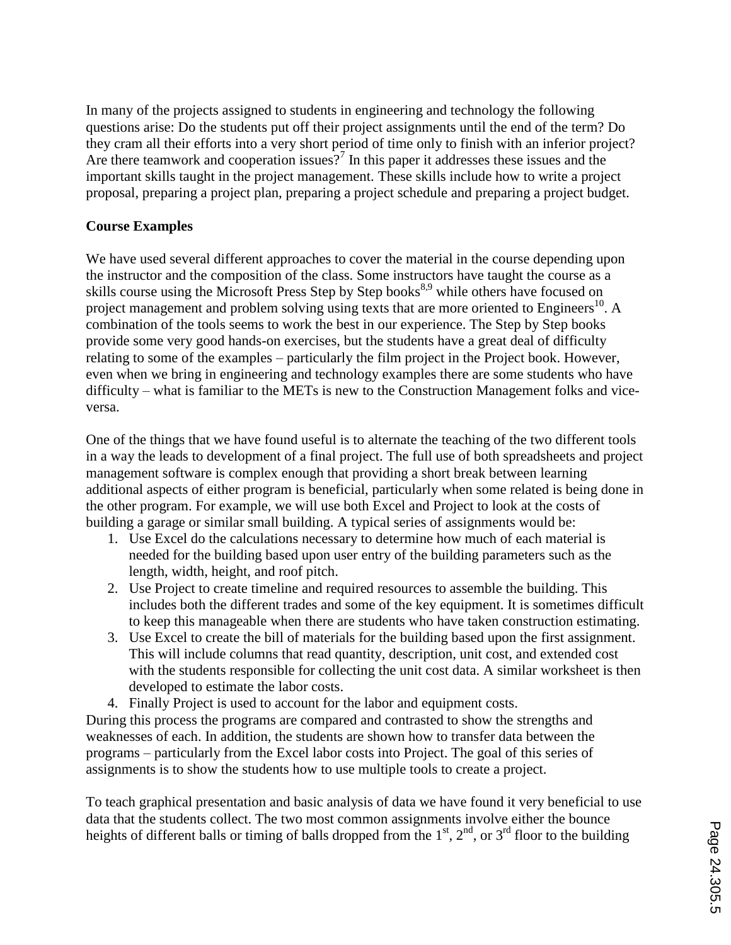In many of the projects assigned to students in engineering and technology the following questions arise: Do the students put off their project assignments until the end of the term? Do they cram all their efforts into a very short period of time only to finish with an inferior project? Are there teamwork and cooperation issues?<sup>7</sup> In this paper it addresses these issues and the important skills taught in the project management. These skills include how to write a project proposal, preparing a project plan, preparing a project schedule and preparing a project budget.

# **Course Examples**

We have used several different approaches to cover the material in the course depending upon the instructor and the composition of the class. Some instructors have taught the course as a skills course using the Microsoft Press Step by Step books<sup>8,9</sup> while others have focused on project management and problem solving using texts that are more oriented to Engineers<sup>10</sup>. A combination of the tools seems to work the best in our experience. The Step by Step books provide some very good hands-on exercises, but the students have a great deal of difficulty relating to some of the examples – particularly the film project in the Project book. However, even when we bring in engineering and technology examples there are some students who have difficulty – what is familiar to the METs is new to the Construction Management folks and viceversa.

One of the things that we have found useful is to alternate the teaching of the two different tools in a way the leads to development of a final project. The full use of both spreadsheets and project management software is complex enough that providing a short break between learning additional aspects of either program is beneficial, particularly when some related is being done in the other program. For example, we will use both Excel and Project to look at the costs of building a garage or similar small building. A typical series of assignments would be:

- 1. Use Excel do the calculations necessary to determine how much of each material is needed for the building based upon user entry of the building parameters such as the length, width, height, and roof pitch.
- 2. Use Project to create timeline and required resources to assemble the building. This includes both the different trades and some of the key equipment. It is sometimes difficult to keep this manageable when there are students who have taken construction estimating.
- 3. Use Excel to create the bill of materials for the building based upon the first assignment. This will include columns that read quantity, description, unit cost, and extended cost with the students responsible for collecting the unit cost data. A similar worksheet is then developed to estimate the labor costs.
- 4. Finally Project is used to account for the labor and equipment costs.

During this process the programs are compared and contrasted to show the strengths and weaknesses of each. In addition, the students are shown how to transfer data between the programs – particularly from the Excel labor costs into Project. The goal of this series of assignments is to show the students how to use multiple tools to create a project.

To teach graphical presentation and basic analysis of data we have found it very beneficial to use data that the students collect. The two most common assignments involve either the bounce heights of different balls or timing of balls dropped from the  $1<sup>st</sup>$ ,  $2<sup>nd</sup>$ , or  $3<sup>rd</sup>$  floor to the building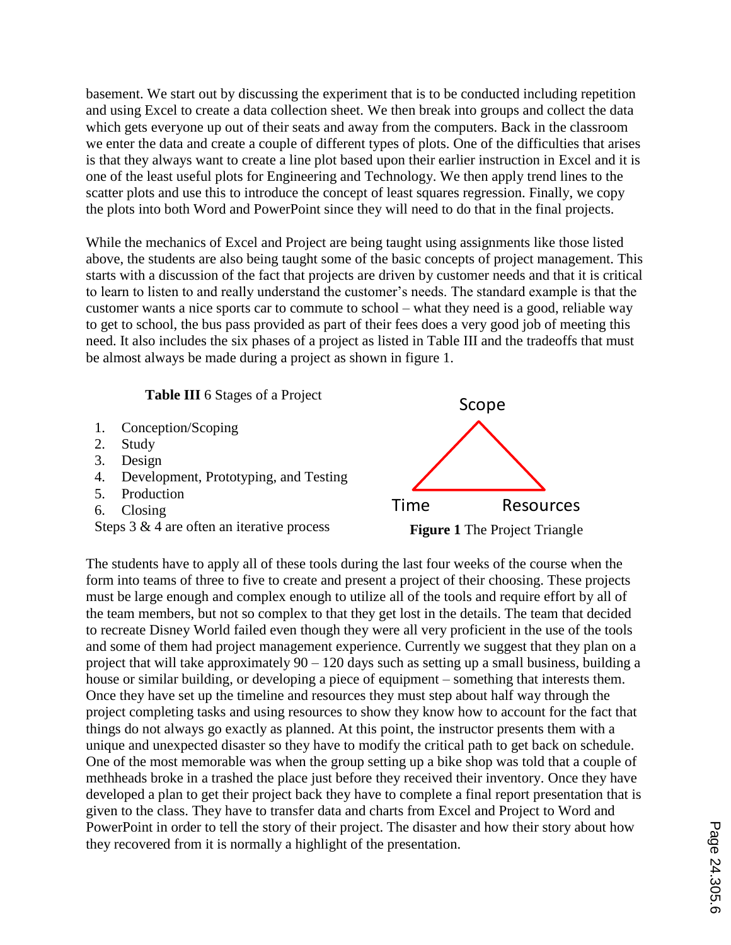basement. We start out by discussing the experiment that is to be conducted including repetition and using Excel to create a data collection sheet. We then break into groups and collect the data which gets everyone up out of their seats and away from the computers. Back in the classroom we enter the data and create a couple of different types of plots. One of the difficulties that arises is that they always want to create a line plot based upon their earlier instruction in Excel and it is one of the least useful plots for Engineering and Technology. We then apply trend lines to the scatter plots and use this to introduce the concept of least squares regression. Finally, we copy the plots into both Word and PowerPoint since they will need to do that in the final projects.

While the mechanics of Excel and Project are being taught using assignments like those listed above, the students are also being taught some of the basic concepts of project management. This starts with a discussion of the fact that projects are driven by customer needs and that it is critical to learn to listen to and really understand the customer's needs. The standard example is that the customer wants a nice sports car to commute to school – what they need is a good, reliable way to get to school, the bus pass provided as part of their fees does a very good job of meeting this need. It also includes the six phases of a project as listed in Table III and the tradeoffs that must be almost always be made during a project as shown in figure 1.

**Table III** 6 Stages of a Project

- 1. Conception/Scoping
- 2. Study
- 3. Design
- 4. Development, Prototyping, and Testing
- 5. Production
- 6. Closing
- 



The students have to apply all of these tools during the last four weeks of the course when the form into teams of three to five to create and present a project of their choosing. These projects must be large enough and complex enough to utilize all of the tools and require effort by all of the team members, but not so complex to that they get lost in the details. The team that decided to recreate Disney World failed even though they were all very proficient in the use of the tools and some of them had project management experience. Currently we suggest that they plan on a project that will take approximately  $90 - 120$  days such as setting up a small business, building a house or similar building, or developing a piece of equipment – something that interests them. Once they have set up the timeline and resources they must step about half way through the project completing tasks and using resources to show they know how to account for the fact that things do not always go exactly as planned. At this point, the instructor presents them with a unique and unexpected disaster so they have to modify the critical path to get back on schedule. One of the most memorable was when the group setting up a bike shop was told that a couple of methheads broke in a trashed the place just before they received their inventory. Once they have developed a plan to get their project back they have to complete a final report presentation that is given to the class. They have to transfer data and charts from Excel and Project to Word and PowerPoint in order to tell the story of their project. The disaster and how their story about how they recovered from it is normally a highlight of the presentation.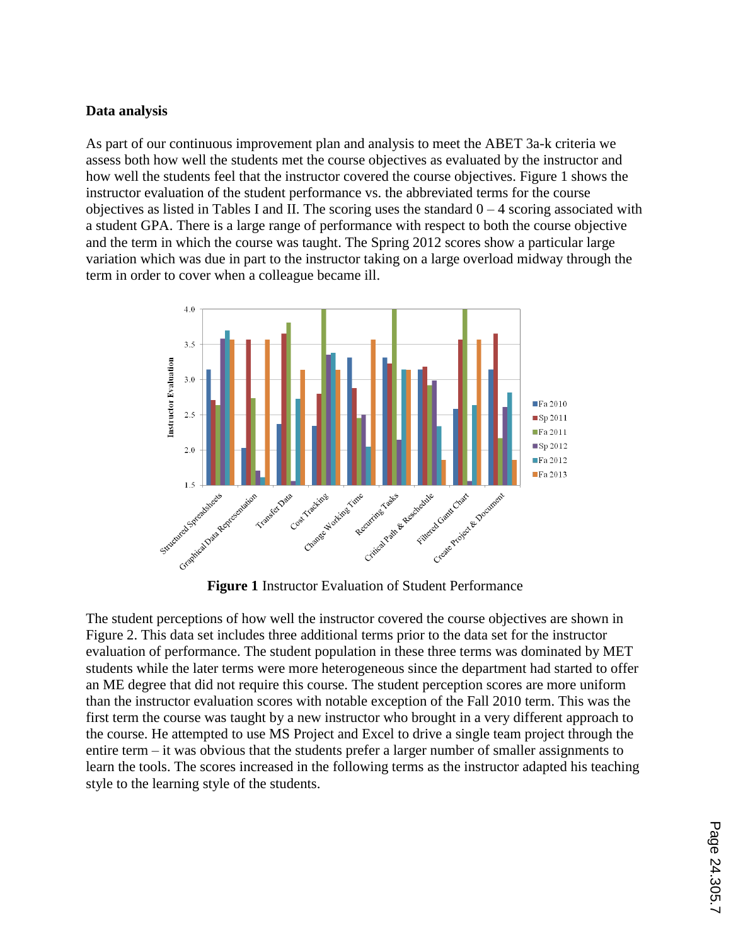## **Data analysis**

As part of our continuous improvement plan and analysis to meet the ABET 3a-k criteria we assess both how well the students met the course objectives as evaluated by the instructor and how well the students feel that the instructor covered the course objectives. Figure 1 shows the instructor evaluation of the student performance vs. the abbreviated terms for the course objectives as listed in Tables I and II. The scoring uses the standard  $0 - 4$  scoring associated with a student GPA. There is a large range of performance with respect to both the course objective and the term in which the course was taught. The Spring 2012 scores show a particular large variation which was due in part to the instructor taking on a large overload midway through the term in order to cover when a colleague became ill.



The student perceptions of how well the instructor covered the course objectives are shown in Figure 2. This data set includes three additional terms prior to the data set for the instructor evaluation of performance. The student population in these three terms was dominated by MET students while the later terms were more heterogeneous since the department had started to offer an ME degree that did not require this course. The student perception scores are more uniform than the instructor evaluation scores with notable exception of the Fall 2010 term. This was the first term the course was taught by a new instructor who brought in a very different approach to the course. He attempted to use MS Project and Excel to drive a single team project through the entire term – it was obvious that the students prefer a larger number of smaller assignments to learn the tools. The scores increased in the following terms as the instructor adapted his teaching style to the learning style of the students.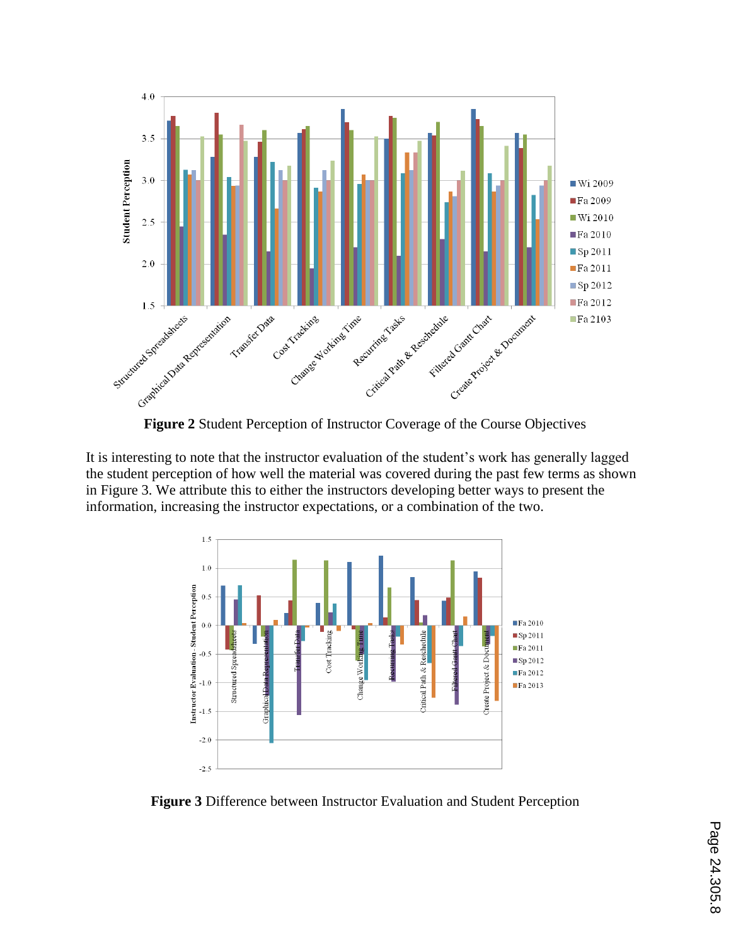

It is interesting to note that the instructor evaluation of the student's work has generally lagged the student perception of how well the material was covered during the past few terms as shown in Figure 3. We attribute this to either the instructors developing better ways to present the information, increasing the instructor expectations, or a combination of the two.



**Figure 3** Difference between Instructor Evaluation and Student Perception